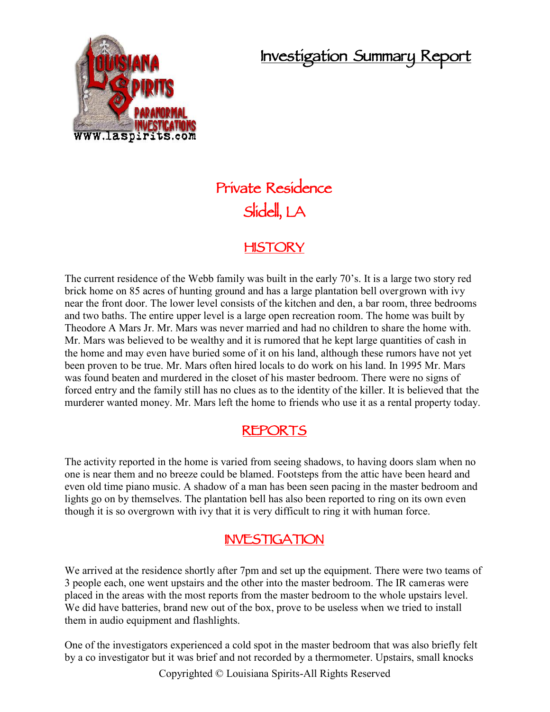## **Investigation Summary Report**



# **Private Residence Slidell, LA**

#### **HISTORY**

The current residence of the Webb family was built in the early 70's. It is a large two story red brick home on 85 acres of hunting ground and has a large plantation bell overgrown with ivy near the front door. The lower level consists of the kitchen and den, a bar room, three bedrooms and two baths. The entire upper level is a large open recreation room. The home was built by Theodore A Mars Jr. Mr. Mars was never married and had no children to share the home with. Mr. Mars was believed to be wealthy and it is rumored that he kept large quantities of cash in the home and may even have buried some of it on his land, although these rumors have not yet been proven to be true. Mr. Mars often hired locals to do work on his land. In 1995 Mr. Mars was found beaten and murdered in the closet of his master bedroom. There were no signs of forced entry and the family still has no clues as to the identity of the killer. It is believed that the murderer wanted money. Mr. Mars left the home to friends who use it as a rental property today.

#### **REPORTS**

The activity reported in the home is varied from seeing shadows, to having doors slam when no one is near them and no breeze could be blamed. Footsteps from the attic have been heard and even old time piano music. A shadow of a man has been seen pacing in the master bedroom and lights go on by themselves. The plantation bell has also been reported to ring on its own even though it is so overgrown with ivy that it is very difficult to ring it with human force.

### **INVESTIGATION**

We arrived at the residence shortly after 7pm and set up the equipment. There were two teams of 3 people each, one went upstairs and the other into the master bedroom. The IR cameras were placed in the areas with the most reports from the master bedroom to the whole upstairs level. We did have batteries, brand new out of the box, prove to be useless when we tried to install them in audio equipment and flashlights.

One of the investigators experienced a cold spot in the master bedroom that was also briefly felt by a co investigator but it was brief and not recorded by a thermometer. Upstairs, small knocks

Copyrighted © Louisiana Spirits-All Rights Reserved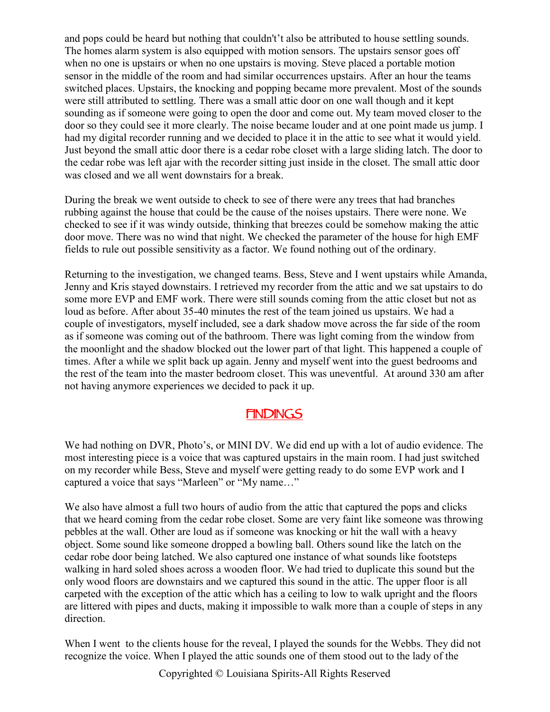and pops could be heard but nothing that couldn't't also be attributed to house settling sounds. The homes alarm system is also equipped with motion sensors. The upstairs sensor goes off when no one is upstairs or when no one upstairs is moving. Steve placed a portable motion sensor in the middle of the room and had similar occurrences upstairs. After an hour the teams switched places. Upstairs, the knocking and popping became more prevalent. Most of the sounds were still attributed to settling. There was a small attic door on one wall though and it kept sounding as if someone were going to open the door and come out. My team moved closer to the door so they could see it more clearly. The noise became louder and at one point made us jump. I had my digital recorder running and we decided to place it in the attic to see what it would yield. Just beyond the small attic door there is a cedar robe closet with a large sliding latch. The door to the cedar robe was left ajar with the recorder sitting just inside in the closet. The small attic door was closed and we all went downstairs for a break.

During the break we went outside to check to see of there were any trees that had branches rubbing against the house that could be the cause of the noises upstairs. There were none. We checked to see if it was windy outside, thinking that breezes could be somehow making the attic door move. There was no wind that night. We checked the parameter of the house for high EMF fields to rule out possible sensitivity as a factor. We found nothing out of the ordinary.

Returning to the investigation, we changed teams. Bess, Steve and I went upstairs while Amanda, Jenny and Kris stayed downstairs. I retrieved my recorder from the attic and we sat upstairs to do some more EVP and EMF work. There were still sounds coming from the attic closet but not as loud as before. After about 35-40 minutes the rest of the team joined us upstairs. We had a couple of investigators, myself included, see a dark shadow move across the far side of the room as if someone was coming out of the bathroom. There was light coming from the window from the moonlight and the shadow blocked out the lower part of that light. This happened a couple of times. After a while we split back up again. Jenny and myself went into the guest bedrooms and the rest of the team into the master bedroom closet. This was uneventful. At around 330 am after not having anymore experiences we decided to pack it up.

#### **FINDINGS**

We had nothing on DVR, Photo's, or MINI DV. We did end up with a lot of audio evidence. The most interesting piece is a voice that was captured upstairs in the main room. I had just switched on my recorder while Bess, Steve and myself were getting ready to do some EVP work and I captured a voice that says "Marleen" or "My name…"

We also have almost a full two hours of audio from the attic that captured the pops and clicks that we heard coming from the cedar robe closet. Some are very faint like someone was throwing pebbles at the wall. Other are loud as if someone was knocking or hit the wall with a heavy object. Some sound like someone dropped a bowling ball. Others sound like the latch on the cedar robe door being latched. We also captured one instance of what sounds like footsteps walking in hard soled shoes across a wooden floor. We had tried to duplicate this sound but the only wood floors are downstairs and we captured this sound in the attic. The upper floor is all carpeted with the exception of the attic which has a ceiling to low to walk upright and the floors are littered with pipes and ducts, making it impossible to walk more than a couple of steps in any direction.

When I went to the clients house for the reveal, I played the sounds for the Webbs. They did not recognize the voice. When I played the attic sounds one of them stood out to the lady of the